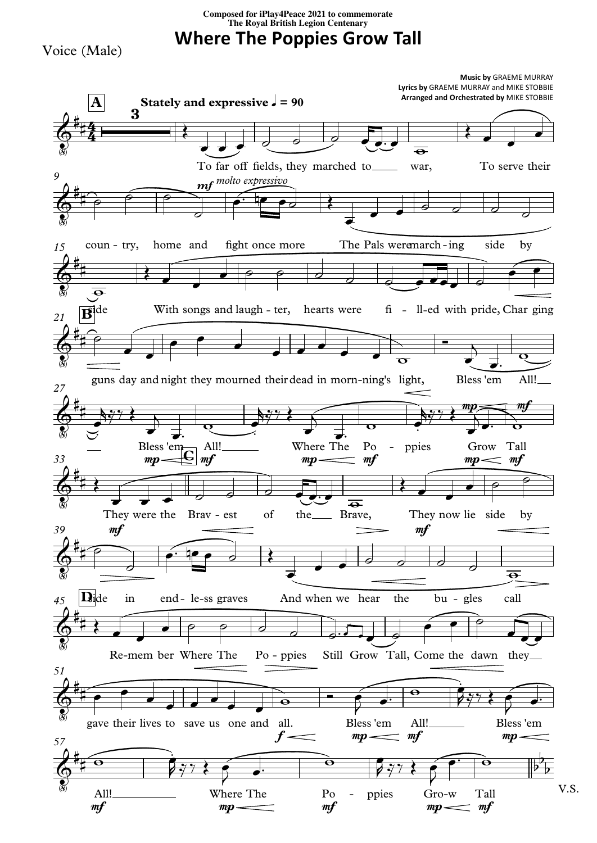**Composed for iPlay4Peace <sup>2021</sup> to commemorate The Royal British Legion Centenary**

**Where The Poppies Grow Tall**

Voice (Male)